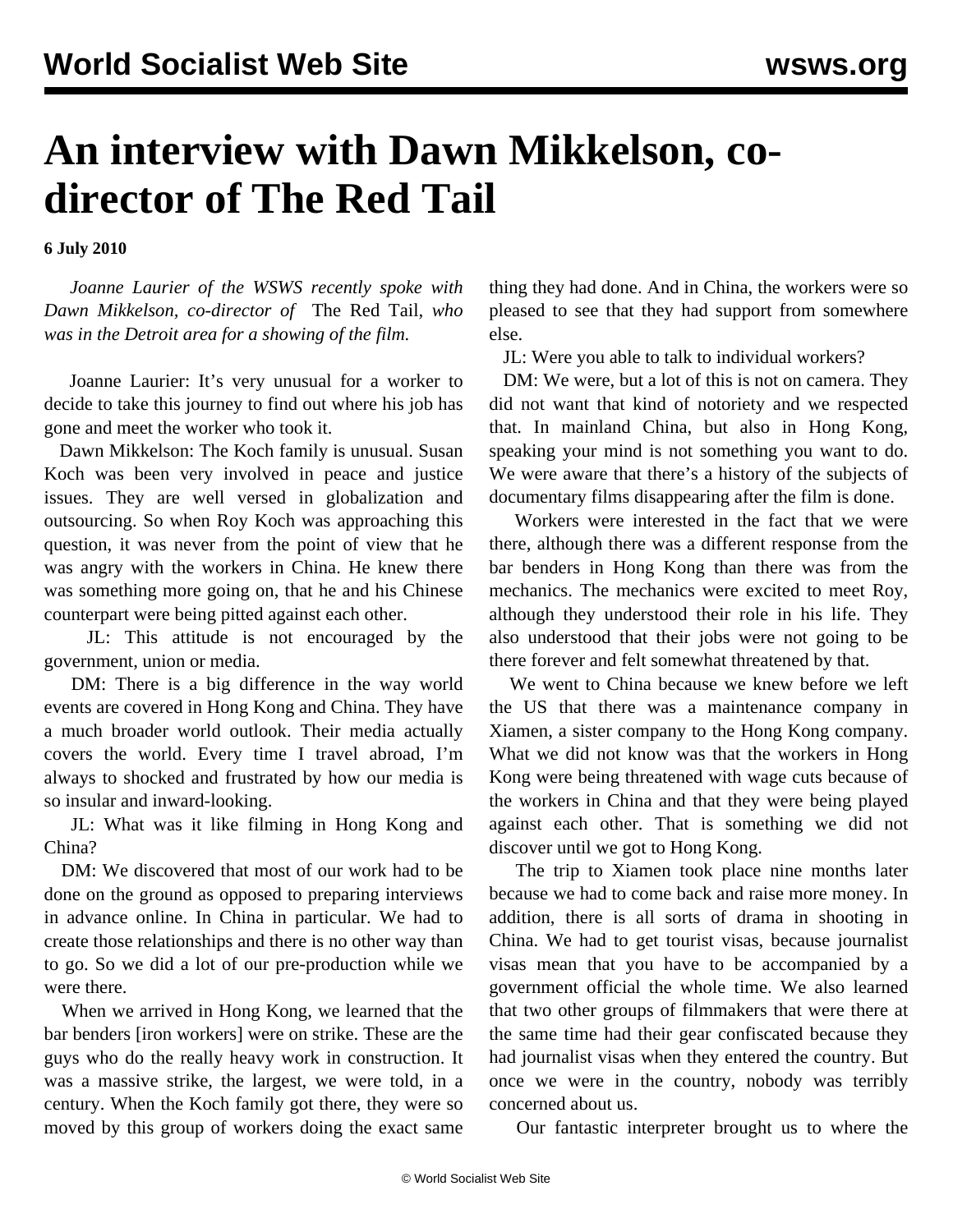## **An interview with Dawn Mikkelson, codirector of The Red Tail**

**6 July 2010**

 *Joanne Laurier of the WSWS recently spoke with Dawn Mikkelson, co-director of* The Red Tail*, who was in the Detroit area for a showing of the film.*

 Joanne Laurier: It's very unusual for a worker to decide to take this journey to find out where his job has gone and meet the worker who took it.

 Dawn Mikkelson: The Koch family is unusual. Susan Koch was been very involved in peace and justice issues. They are well versed in globalization and outsourcing. So when Roy Koch was approaching this question, it was never from the point of view that he was angry with the workers in China. He knew there was something more going on, that he and his Chinese counterpart were being pitted against each other.

 JL: This attitude is not encouraged by the government, union or media.

 DM: There is a big difference in the way world events are covered in Hong Kong and China. They have a much broader world outlook. Their media actually covers the world. Every time I travel abroad, I'm always to shocked and frustrated by how our media is so insular and inward-looking.

 JL: What was it like filming in Hong Kong and China?

 DM: We discovered that most of our work had to be done on the ground as opposed to preparing interviews in advance online. In China in particular. We had to create those relationships and there is no other way than to go. So we did a lot of our pre-production while we were there.

 When we arrived in Hong Kong, we learned that the bar benders [iron workers] were on strike. These are the guys who do the really heavy work in construction. It was a massive strike, the largest, we were told, in a century. When the Koch family got there, they were so moved by this group of workers doing the exact same

thing they had done. And in China, the workers were so pleased to see that they had support from somewhere else.

JL: Were you able to talk to individual workers?

 DM: We were, but a lot of this is not on camera. They did not want that kind of notoriety and we respected that. In mainland China, but also in Hong Kong, speaking your mind is not something you want to do. We were aware that there's a history of the subjects of documentary films disappearing after the film is done.

 Workers were interested in the fact that we were there, although there was a different response from the bar benders in Hong Kong than there was from the mechanics. The mechanics were excited to meet Roy, although they understood their role in his life. They also understood that their jobs were not going to be there forever and felt somewhat threatened by that.

 We went to China because we knew before we left the US that there was a maintenance company in Xiamen, a sister company to the Hong Kong company. What we did not know was that the workers in Hong Kong were being threatened with wage cuts because of the workers in China and that they were being played against each other. That is something we did not discover until we got to Hong Kong.

 The trip to Xiamen took place nine months later because we had to come back and raise more money. In addition, there is all sorts of drama in shooting in China. We had to get tourist visas, because journalist visas mean that you have to be accompanied by a government official the whole time. We also learned that two other groups of filmmakers that were there at the same time had their gear confiscated because they had journalist visas when they entered the country. But once we were in the country, nobody was terribly concerned about us.

Our fantastic interpreter brought us to where the